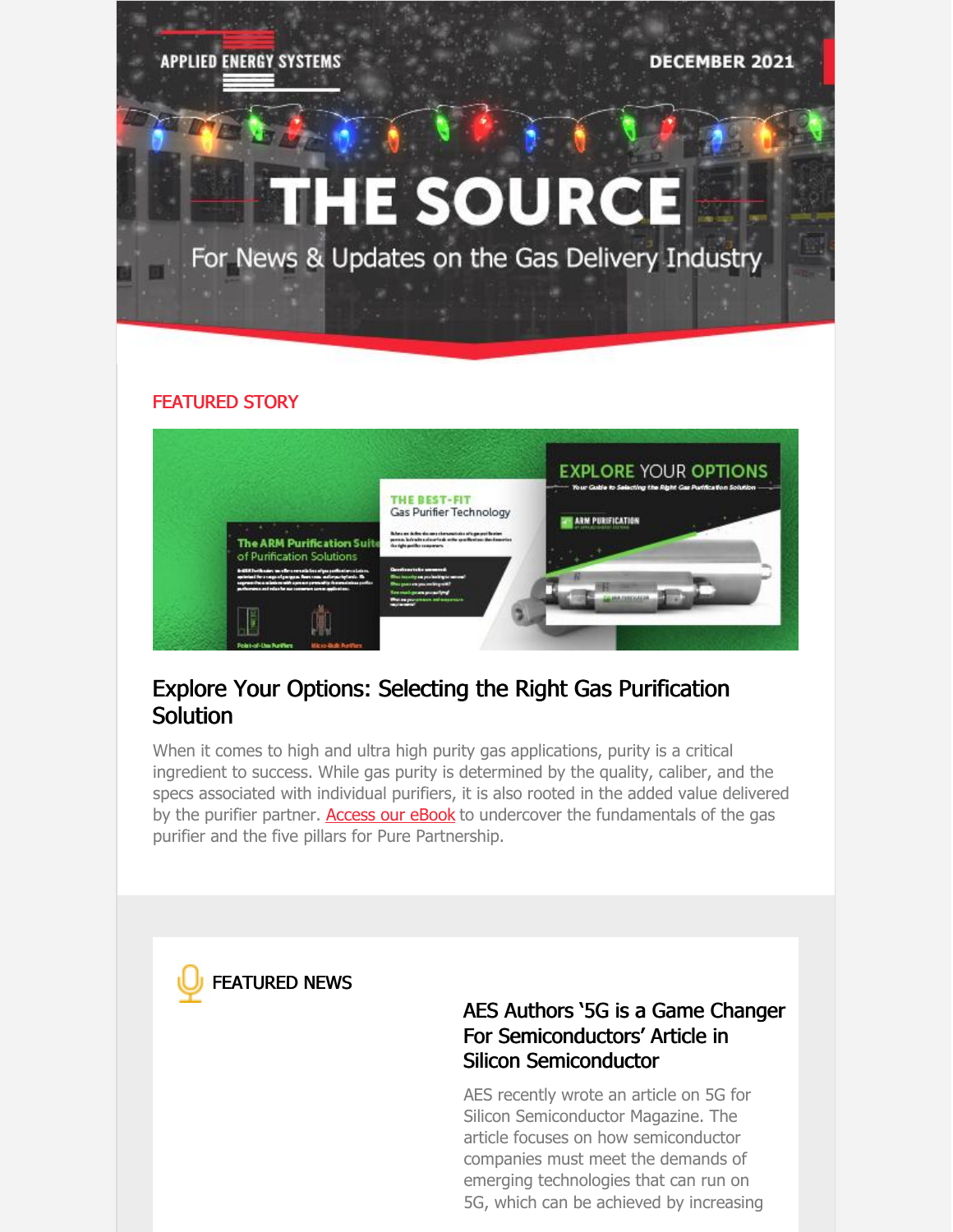**APPLIED ENERGY SYSTEMS** 

**DECEMBER 2021** 

# **THE SOURCE**

For News & Updates on the Gas Delivery Industry

#### FEATURED STORY



### Explore Your Options: Selecting the Right Gas Purification Solution

When it comes to high and ultra high purity gas applications, purity is a critical ingredient to success. While gas purity is determined by the quality, caliber, and the specs associated with individual purifiers, it is also rooted in the added value delivered by the purifier partner. **[Access](https://www.appliedenergysystems.com/wp-content/uploads/2021/03/arm-explore-your-options-ebook-032220.pdf) our eBook** to undercover the fundamentals of the gas purifier and the five pillars for Pure Partnership.



#### AES Authors '5G is a Game Changer For [Semiconductors'](https://siliconsemiconductor.net/article/113311/5G_Is_A_Game-Changer_For_Semiconductors) Article in Silicon Semiconductor

AES recently wrote an article on 5G for Silicon Semiconductor Magazine. The article focuses on how semiconductor companies must meet the demands of emerging technologies that can run on 5G, which can be achieved by increasing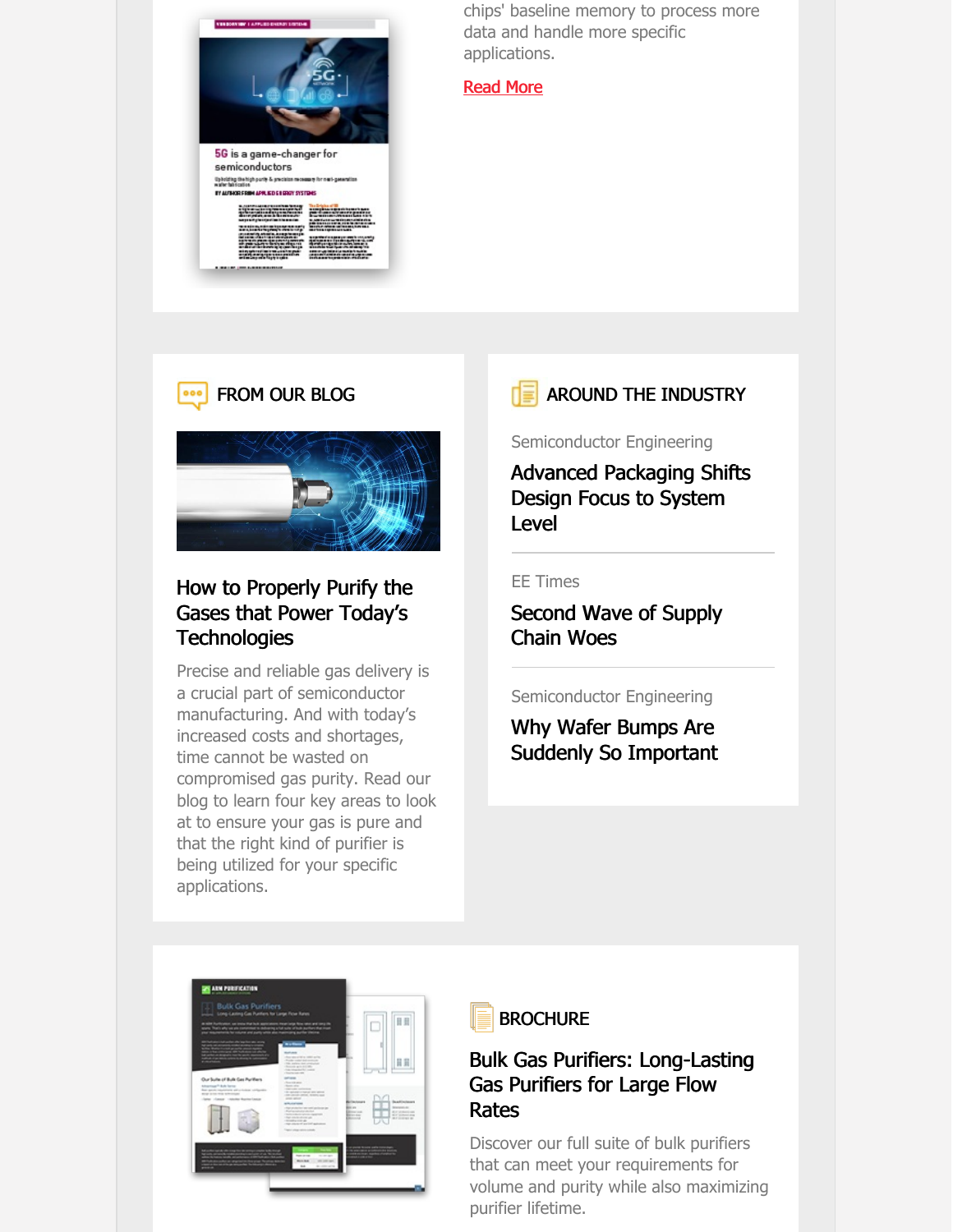

chips' baseline memory to process more data and handle more specific applications.

#### [Read](https://siliconsemiconductor.net/article/113311/5G_Is_A_Game-Changer_For_Semiconductors) More

#### FROM OUR BLOG  $000$



#### How to Properly Purify the Gases that Power Today's **[Technologies](https://www.appliedenergysystems.com/how-to-properly-purify-the-gases-that-power-todays-technologies/)**

Precise and reliable gas delivery is a crucial part of semiconductor manufacturing. And with today's increased costs and shortages, time cannot be wasted on compromised gas purity. Read our blog to learn four key areas to look at to ensure your gas is pure and that the right kind of purifier is being utilized for your specific applications.

#### AROUND THE INDUSTRY

Semiconductor Engineering

Advanced [Packaging](https://semiengineering.com/advanced-packaging-shifts-design-focus-to-system-level/) Shifts Design Focus to System Level

#### EE Times

[Second](https://www.eetimes.com/second-wave-of-supply-chain-woes-looms/) Wave of Supply Chain Woes

#### Semiconductor Engineering

Why Wafer Bumps Are Suddenly So [Important](https://semiengineering.com/why-wafer-bumps-are-suddenly-so-important/)



#### **BROCHURE**

#### Bulk Gas Purifiers: [Long-Lasting](https://www.appliedenergysystems.com/wp-content/uploads/2021/02/ARM-Bulk-Brochure.pdf) Gas Purifiers for Large Flow Rates

Discover our full suite of bulk purifiers that can meet your requirements for volume and purity while also maximizing purifier lifetime.